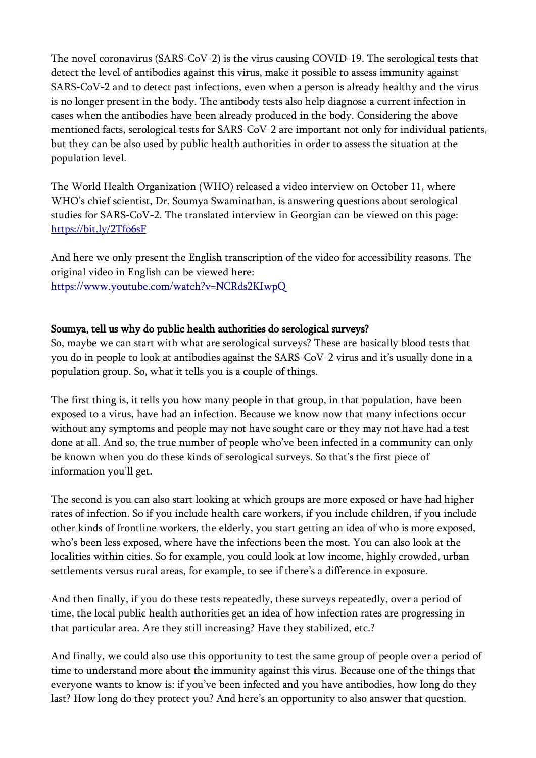The novel coronavirus (SARS-CoV-2) is the virus causing COVID-19. The serological tests that detect the level of antibodies against this virus, make it possible to assess immunity against SARS-CoV-2 and to detect past infections, even when a person is already healthy and the virus is no longer present in the body. The antibody tests also help diagnose a current infection in cases when the antibodies have been already produced in the body. Considering the above mentioned facts, serological tests for SARS-CoV-2 are important not only for individual patients, but they can be also used by public health authorities in order to assess the situation at the population level.

The World Health Organization (WHO) released a video interview on October 11, where WHO's chief scientist, Dr. Soumya Swaminathan, is answering questions about serological studies for SARS-CoV-2. The translated interview in Georgian can be viewed on this page: <https://bit.ly/2Tfo6sF>

And here we only present the English transcription of the video for accessibility reasons. The original video in English can be viewed here: <https://www.youtube.com/watch?v=NCRds2KIwpQ>

## Soumya, tell us why do public health authorities do serological surveys?

So, maybe we can start with what are serological surveys? These are basically blood tests that you do in people to look at antibodies against the SARS-CoV-2 virus and it's usually done in a population group. So, what it tells you is a couple of things.

The first thing is, it tells you how many people in that group, in that population, have been exposed to a virus, have had an infection. Because we know now that many infections occur without any symptoms and people may not have sought care or they may not have had a test done at all. And so, the true number of people who've been infected in a community can only be known when you do these kinds of serological surveys. So that's the first piece of information you'll get.

The second is you can also start looking at which groups are more exposed or have had higher rates of infection. So if you include health care workers, if you include children, if you include other kinds of frontline workers, the elderly, you start getting an idea of who is more exposed, who's been less exposed, where have the infections been the most. You can also look at the localities within cities. So for example, you could look at low income, highly crowded, urban settlements versus rural areas, for example, to see if there's a difference in exposure.

And then finally, if you do these tests repeatedly, these surveys repeatedly, over a period of time, the local public health authorities get an idea of how infection rates are progressing in that particular area. Are they still increasing? Have they stabilized, etc.?

And finally, we could also use this opportunity to test the same group of people over a period of time to understand more about the immunity against this virus. Because one of the things that everyone wants to know is: if you've been infected and you have antibodies, how long do they last? How long do they protect you? And here's an opportunity to also answer that question.